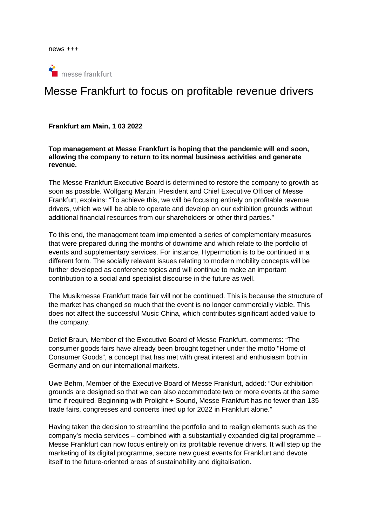news +++



# Messe Frankfurt to focus on profitable revenue drivers

#### **Frankfurt am Main, 1 03 2022**

**Top management at Messe Frankfurt is hoping that the pandemic will end soon, allowing the company to return to its normal business activities and generate revenue.** 

The Messe Frankfurt Executive Board is determined to restore the company to growth as soon as possible. Wolfgang Marzin, President and Chief Executive Officer of Messe Frankfurt, explains: "To achieve this, we will be focusing entirely on profitable revenue drivers, which we will be able to operate and develop on our exhibition grounds without additional financial resources from our shareholders or other third parties."

To this end, the management team implemented a series of complementary measures that were prepared during the months of downtime and which relate to the portfolio of events and supplementary services. For instance, Hypermotion is to be continued in a different form. The socially relevant issues relating to modern mobility concepts will be further developed as conference topics and will continue to make an important contribution to a social and specialist discourse in the future as well.

The Musikmesse Frankfurt trade fair will not be continued. This is because the structure of the market has changed so much that the event is no longer commercially viable. This does not affect the successful Music China, which contributes significant added value to the company.

Detlef Braun, Member of the Executive Board of Messe Frankfurt, comments: "The consumer goods fairs have already been brought together under the motto "Home of Consumer Goods", a concept that has met with great interest and enthusiasm both in Germany and on our international markets.

Uwe Behm, Member of the Executive Board of Messe Frankfurt, added: "Our exhibition grounds are designed so that we can also accommodate two or more events at the same time if required. Beginning with Prolight + Sound, Messe Frankfurt has no fewer than 135 trade fairs, congresses and concerts lined up for 2022 in Frankfurt alone."

Having taken the decision to streamline the portfolio and to realign elements such as the company's media services – combined with a substantially expanded digital programme – Messe Frankfurt can now focus entirely on its profitable revenue drivers. It will step up the marketing of its digital programme, secure new guest events for Frankfurt and devote itself to the future-oriented areas of sustainability and digitalisation.